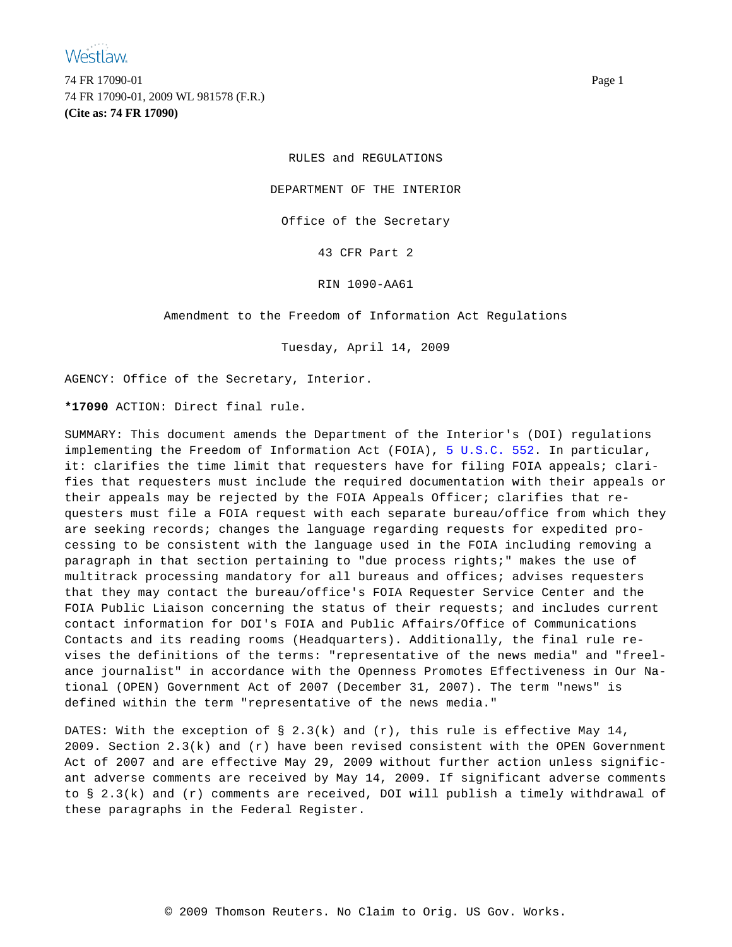

74 FR 17090-01 Page 1 74 FR 17090-01, 2009 WL 981578 (F.R.) **(Cite as: 74 FR 17090)**

RULES and REGULATIONS

DEPARTMENT OF THE INTERIOR

Office of the Secretary

43 CFR Part 2

RIN 1090-AA61

Amendment to the Freedom of Information Act Regulations

Tuesday, April 14, 2009

AGENCY: Office of the Secretary, Interior.

**\*17090** ACTION: Direct final rule.

SUMMARY: This document amends the Department of the Interior's (DOI) regulations implementing the Freedom of Information Act (FOIA), [5 U.S.C. 552](http://www.westlaw.com/Find/Default.wl?rs=FIPR1.0&vr=2.0&DB=1000546&DocName=5USCAS552&FindType=L). In particular, it: clarifies the time limit that requesters have for filing FOIA appeals; clarifies that requesters must include the required documentation with their appeals or their appeals may be rejected by the FOIA Appeals Officer; clarifies that requesters must file a FOIA request with each separate bureau/office from which they are seeking records; changes the language regarding requests for expedited processing to be consistent with the language used in the FOIA including removing a paragraph in that section pertaining to "due process rights;" makes the use of multitrack processing mandatory for all bureaus and offices; advises requesters that they may contact the bureau/office's FOIA Requester Service Center and the FOIA Public Liaison concerning the status of their requests; and includes current contact information for DOI's FOIA and Public Affairs/Office of Communications Contacts and its reading rooms (Headquarters). Additionally, the final rule revises the definitions of the terms: "representative of the news media" and "freelance journalist" in accordance with the Openness Promotes Effectiveness in Our National (OPEN) Government Act of 2007 (December 31, 2007). The term "news" is defined within the term "representative of the news media."

DATES: With the exception of  $\S$  2.3(k) and (r), this rule is effective May 14, 2009. Section 2.3(k) and (r) have been revised consistent with the OPEN Government Act of 2007 and are effective May 29, 2009 without further action unless significant adverse comments are received by May 14, 2009. If significant adverse comments to § 2.3(k) and (r) comments are received, DOI will publish a timely withdrawal of these paragraphs in the Federal Register.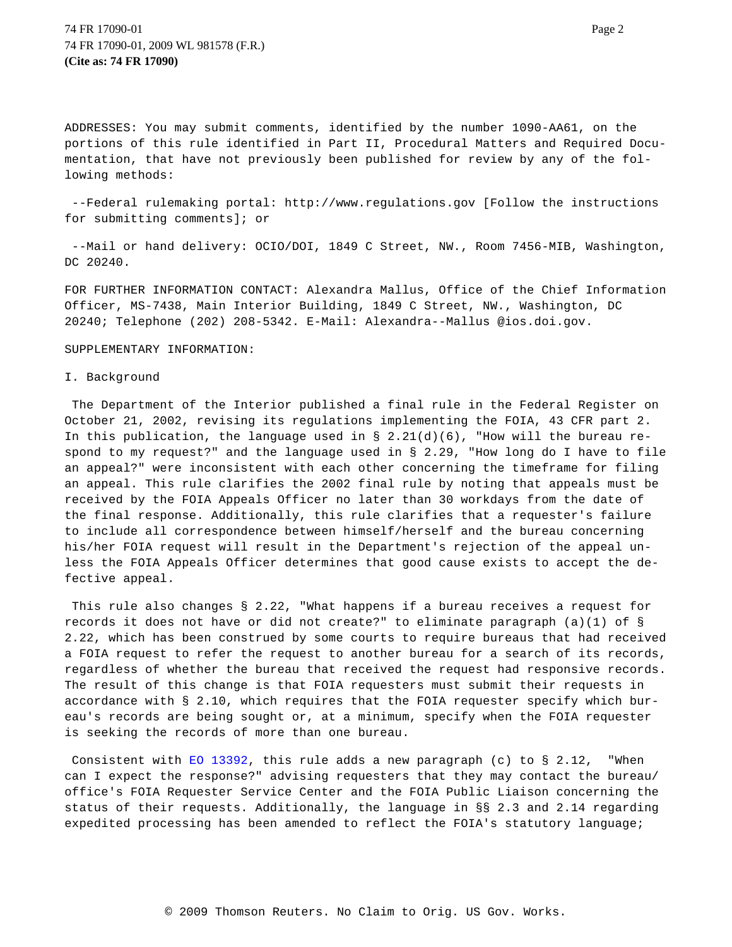74 FR 17090-01 Page 2 74 FR 17090-01, 2009 WL 981578 (F.R.) **(Cite as: 74 FR 17090)**

ADDRESSES: You may submit comments, identified by the number 1090-AA61, on the portions of this rule identified in Part II, Procedural Matters and Required Documentation, that have not previously been published for review by any of the following methods:

--Federal rulemaking portal: http://www.regulations.gov [Follow the instructions for submitting comments]; or

--Mail or hand delivery: OCIO/DOI, 1849 C Street, NW., Room 7456-MIB, Washington, DC 20240.

FOR FURTHER INFORMATION CONTACT: Alexandra Mallus, Office of the Chief Information Officer, MS-7438, Main Interior Building, 1849 C Street, NW., Washington, DC 20240; Telephone (202) 208-5342. E-Mail: Alexandra--Mallus @ios.doi.gov.

### SUPPLEMENTARY INFORMATION:

#### I. Background

The Department of the Interior published a final rule in the Federal Register on October 21, 2002, revising its regulations implementing the FOIA, 43 CFR part 2. In this publication, the language used in  $\S$  2.21(d)(6), "How will the bureau respond to my request?" and the language used in § 2.29, "How long do I have to file an appeal?" were inconsistent with each other concerning the timeframe for filing an appeal. This rule clarifies the 2002 final rule by noting that appeals must be received by the FOIA Appeals Officer no later than 30 workdays from the date of the final response. Additionally, this rule clarifies that a requester's failure to include all correspondence between himself/herself and the bureau concerning his/her FOIA request will result in the Department's rejection of the appeal unless the FOIA Appeals Officer determines that good cause exists to accept the defective appeal.

This rule also changes § 2.22, "What happens if a bureau receives a request for records it does not have or did not create?" to eliminate paragraph (a)(1) of § 2.22, which has been construed by some courts to require bureaus that had received a FOIA request to refer the request to another bureau for a search of its records, regardless of whether the bureau that received the request had responsive records. The result of this change is that FOIA requesters must submit their requests in accordance with § 2.10, which requires that the FOIA requester specify which bureau's records are being sought or, at a minimum, specify when the FOIA requester is seeking the records of more than one bureau.

Consistent with [EO 1339](http://www.westlaw.com/Find/Default.wl?rs=FIPR1.0&vr=2.0&DB=0001043&FindType=Y&SerialNum=2007906218)2, this rule adds a new paragraph (c) to  $\S$  2.12, "When can I expect the response?" advising requesters that they may contact the bureau/ office's FOIA Requester Service Center and the FOIA Public Liaison concerning the status of their requests. Additionally, the language in §§ 2.3 and 2.14 regarding expedited processing has been amended to reflect the FOIA's statutory language;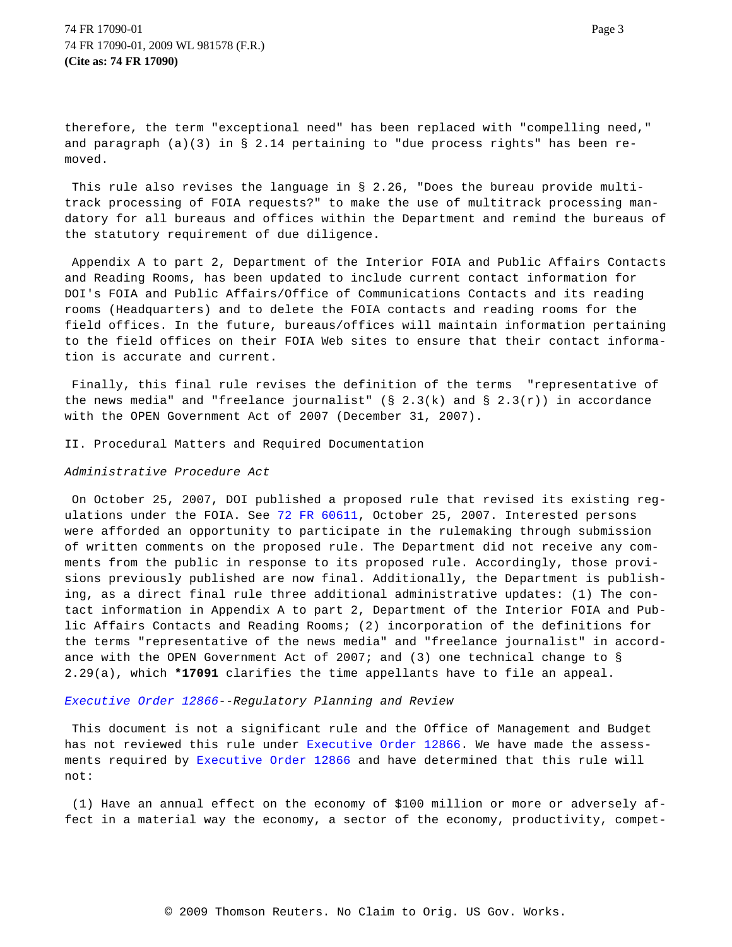therefore, the term "exceptional need" has been replaced with "compelling need," and paragraph (a)(3) in § 2.14 pertaining to "due process rights" has been removed.

This rule also revises the language in § 2.26, "Does the bureau provide multitrack processing of FOIA requests?" to make the use of multitrack processing mandatory for all bureaus and offices within the Department and remind the bureaus of the statutory requirement of due diligence.

Appendix A to part 2, Department of the Interior FOIA and Public Affairs Contacts and Reading Rooms, has been updated to include current contact information for DOI's FOIA and Public Affairs/Office of Communications Contacts and its reading rooms (Headquarters) and to delete the FOIA contacts and reading rooms for the field offices. In the future, bureaus/offices will maintain information pertaining to the field offices on their FOIA Web sites to ensure that their contact information is accurate and current.

Finally, this final rule revises the definition of the terms "representative of the news media" and "freelance journalist" (§ 2.3(k) and § 2.3(r)) in accordance with the OPEN Government Act of 2007 (December 31, 2007).

II. Procedural Matters and Required Documentation

## Administrative Procedure Act

On October 25, 2007, DOI published a proposed rule that revised its existing regulations under the FOIA. See [72 FR 6061](http://www.westlaw.com/Find/Default.wl?rs=FIPR1.0&vr=2.0&DocName=72FR60611&FindType=Y)1, October 25, 2007. Interested persons were afforded an opportunity to participate in the rulemaking through submission of written comments on the proposed rule. The Department did not receive any comments from the public in response to its proposed rule. Accordingly, those provisions previously published are now final. Additionally, the Department is publishing, as a direct final rule three additional administrative updates: (1) The contact information in Appendix A to part 2, Department of the Interior FOIA and Public Affairs Contacts and Reading Rooms; (2) incorporation of the definitions for the terms "representative of the news media" and "freelance journalist" in accordance with the OPEN Government Act of 2007; and (3) one technical change to § 2.29(a), which **\*17091** clarifies the time appellants have to file an appeal.

[Executive Order 12866](http://www.westlaw.com/Find/Default.wl?rs=FIPR1.0&vr=2.0&DB=0001043&FindType=Y&SerialNum=1993511360)--Regulatory Planning and Review

This document is not a significant rule and the Office of Management and Budget has not reviewed this rule under [Executive Order 1286](http://www.westlaw.com/Find/Default.wl?rs=FIPR1.0&vr=2.0&DB=0001043&FindType=Y&SerialNum=1993511360)6. We have made the assessments required by [Executive Order 1286](http://www.westlaw.com/Find/Default.wl?rs=FIPR1.0&vr=2.0&DB=0001043&FindType=Y&SerialNum=1993511360)6 and have determined that this rule will not:

(1) Have an annual effect on the economy of \$100 million or more or adversely affect in a material way the economy, a sector of the economy, productivity, compet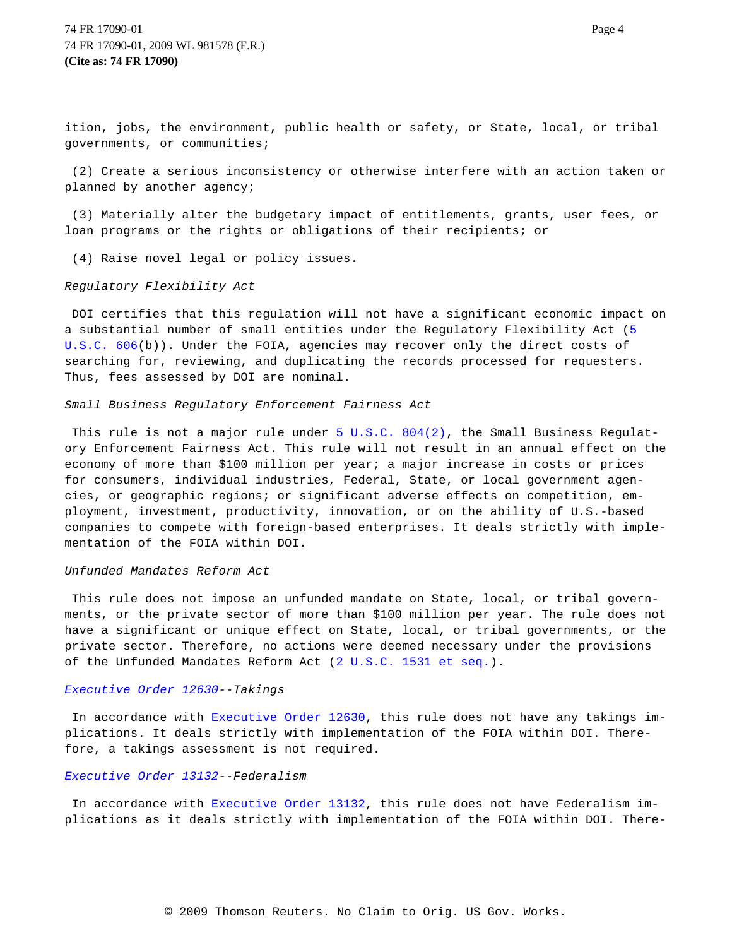ition, jobs, the environment, public health or safety, or State, local, or tribal governments, or communities;

(2) Create a serious inconsistency or otherwise interfere with an action taken or planned by another agency;

(3) Materially alter the budgetary impact of entitlements, grants, user fees, or loan programs or the rights or obligations of their recipients; or

(4) Raise novel legal or policy issues.

Regulatory Flexibility Act

DOI certifies that this regulation will not have a significant economic impact on a substantial number of small entities under the Regulatory Flexibility Act [\(5](http://www.westlaw.com/Find/Default.wl?rs=FIPR1.0&vr=2.0&DB=1000546&DocName=5USCAS606&FindType=L) [U.S.C. 60](http://www.westlaw.com/Find/Default.wl?rs=FIPR1.0&vr=2.0&DB=1000546&DocName=5USCAS606&FindType=L)6(b)). Under the FOIA, agencies may recover only the direct costs of searching for, reviewing, and duplicating the records processed for requesters. Thus, fees assessed by DOI are nominal.

Small Business Regulatory Enforcement Fairness Act

This rule is not a major rule under [5 U.S.C. 804\(2](http://www.westlaw.com/Find/Default.wl?rs=FIPR1.0&vr=2.0&DB=1000546&DocName=5USCAS804&FindType=L&ReferencePositionType=T&ReferencePosition=SP_58730000872b1)), the Small Business Regulatory Enforcement Fairness Act. This rule will not result in an annual effect on the economy of more than \$100 million per year; a major increase in costs or prices for consumers, individual industries, Federal, State, or local government agencies, or geographic regions; or significant adverse effects on competition, employment, investment, productivity, innovation, or on the ability of U.S.-based companies to compete with foreign-based enterprises. It deals strictly with implementation of the FOIA within DOI.

### Unfunded Mandates Reform Act

This rule does not impose an unfunded mandate on State, local, or tribal governments, or the private sector of more than \$100 million per year. The rule does not have a significant or unique effect on State, local, or tribal governments, or the private sector. Therefore, no actions were deemed necessary under the provisions of the Unfunded Mandates Reform Act [\(2 U.S.C. 1531 et seq](http://www.westlaw.com/Find/Default.wl?rs=FIPR1.0&vr=2.0&DB=1000546&DocName=2USCAS1531&FindType=L).).

### [Executive Order 12630](http://www.westlaw.com/Find/Default.wl?rs=FIPR1.0&vr=2.0&DB=0001043&FindType=Y&SerialNum=1988355193)--Takings

In accordance with [Executive Order 12630](http://www.westlaw.com/Find/Default.wl?rs=FIPR1.0&vr=2.0&DB=0001043&FindType=Y&SerialNum=1988355193), this rule does not have any takings implications. It deals strictly with implementation of the FOIA within DOI. Therefore, a takings assessment is not required.

# [Executive Order 13132](http://www.westlaw.com/Find/Default.wl?rs=FIPR1.0&vr=2.0&DB=0001043&FindType=Y&SerialNum=1999733461)--Federalism

In accordance with [Executive Order 13132](http://www.westlaw.com/Find/Default.wl?rs=FIPR1.0&vr=2.0&DB=0001043&FindType=Y&SerialNum=1999733461), this rule does not have Federalism implications as it deals strictly with implementation of the FOIA within DOI. There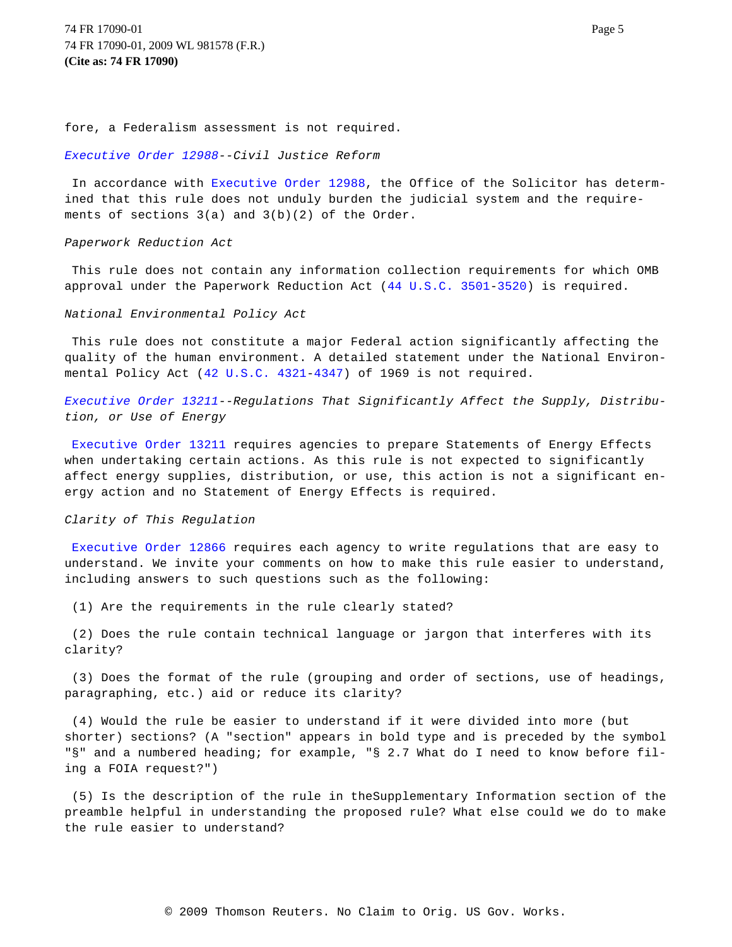fore, a Federalism assessment is not required.

[Executive Order 12988](http://www.westlaw.com/Find/Default.wl?rs=FIPR1.0&vr=2.0&DB=0001043&FindType=Y&SerialNum=1996612696)--Civil Justice Reform

In accordance with [Executive Order 12988](http://www.westlaw.com/Find/Default.wl?rs=FIPR1.0&vr=2.0&DB=0001043&FindType=Y&SerialNum=1996612696), the Office of the Solicitor has determined that this rule does not unduly burden the judicial system and the requirements of sections  $3(a)$  and  $3(b)(2)$  of the Order.

Paperwork Reduction Act

This rule does not contain any information collection requirements for which OMB approval under the Paperwork Reduction Act [\(44 U.S.C. 350](http://www.westlaw.com/Find/Default.wl?rs=FIPR1.0&vr=2.0&DB=1000546&DocName=44USCAS3501&FindType=L)[1-3520](http://www.westlaw.com/Find/Default.wl?rs=FIPR1.0&vr=2.0&DB=1000546&DocName=44USCAS3520&FindType=L)) is required.

National Environmental Policy Act

This rule does not constitute a major Federal action significantly affecting the quality of the human environment. A detailed statement under the National Environmental Policy Ac[t \(42 U.S.C. 4321](http://www.westlaw.com/Find/Default.wl?rs=FIPR1.0&vr=2.0&DB=1000546&DocName=42USCAS4321&FindType=L)[-434](http://www.westlaw.com/Find/Default.wl?rs=FIPR1.0&vr=2.0&DB=1000546&DocName=42USCAS4347&FindType=L)7) of 1969 is not required.

[Executive Order 13211](http://www.westlaw.com/Find/Default.wl?rs=FIPR1.0&vr=2.0&DB=0001043&FindType=Y&SerialNum=2005508477)--Regulations That Significantly Affect the Supply, Distribution, or Use of Energy

[Executive Order 13211](http://www.westlaw.com/Find/Default.wl?rs=FIPR1.0&vr=2.0&DB=0001043&FindType=Y&SerialNum=2005508477) requires agencies to prepare Statements of Energy Effects when undertaking certain actions. As this rule is not expected to significantly affect energy supplies, distribution, or use, this action is not a significant energy action and no Statement of Energy Effects is required.

## Clarity of This Regulation

[Executive Order 12866](http://www.westlaw.com/Find/Default.wl?rs=FIPR1.0&vr=2.0&DB=0001043&FindType=Y&SerialNum=1993511360) requires each agency to write regulations that are easy to understand. We invite your comments on how to make this rule easier to understand, including answers to such questions such as the following:

(1) Are the requirements in the rule clearly stated?

(2) Does the rule contain technical language or jargon that interferes with its clarity?

(3) Does the format of the rule (grouping and order of sections, use of headings, paragraphing, etc.) aid or reduce its clarity?

(4) Would the rule be easier to understand if it were divided into more (but shorter) sections? (A "section" appears in bold type and is preceded by the symbol "§" and a numbered heading; for example, "§ 2.7 What do I need to know before filing a FOIA request?")

(5) Is the description of the rule in theSupplementary Information section of the preamble helpful in understanding the proposed rule? What else could we do to make the rule easier to understand?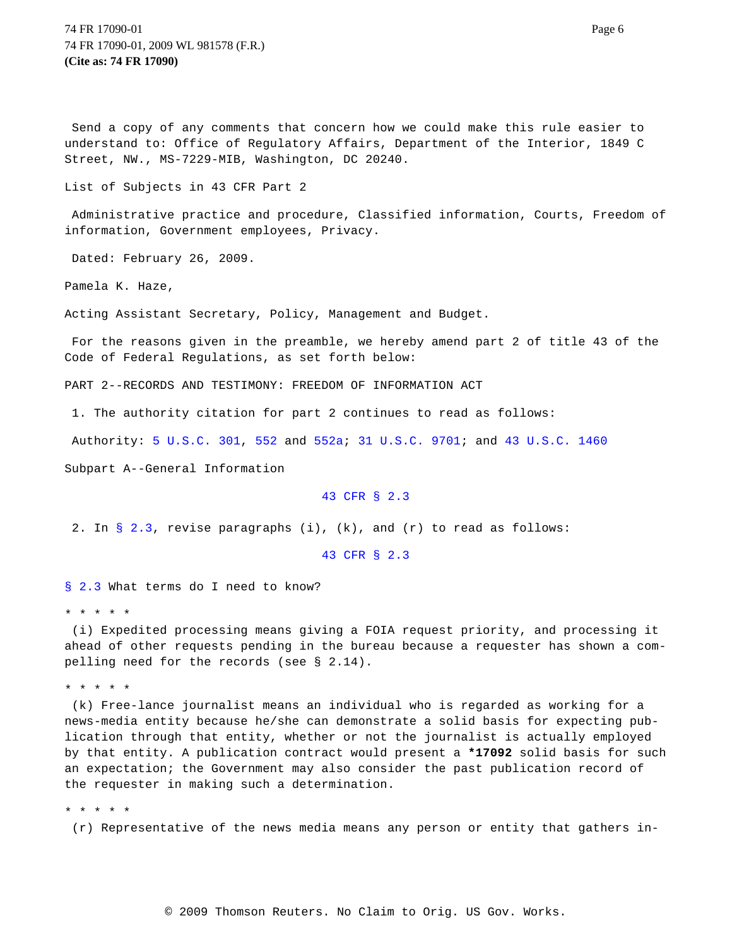Send a copy of any comments that concern how we could make this rule easier to understand to: Office of Regulatory Affairs, Department of the Interior, 1849 C Street, NW., MS-7229-MIB, Washington, DC 20240.

List of Subjects in 43 CFR Part 2

Administrative practice and procedure, Classified information, Courts, Freedom of information, Government employees, Privacy.

Dated: February 26, 2009.

Pamela K. Haze,

Acting Assistant Secretary, Policy, Management and Budget.

For the reasons given in the preamble, we hereby amend part 2 of title 43 of the Code of Federal Regulations, as set forth below:

PART 2--RECORDS AND TESTIMONY: FREEDOM OF INFORMATION ACT

1. The authority citation for part 2 continues to read as follows:

Authority: [5 U.S.C. 30](http://www.westlaw.com/Find/Default.wl?rs=FIPR1.0&vr=2.0&DB=1000546&DocName=5USCAS301&FindType=L)1, [552](http://www.westlaw.com/Find/Default.wl?rs=FIPR1.0&vr=2.0&DB=1000546&DocName=5USCAS552&FindType=L) and [552](http://www.westlaw.com/Find/Default.wl?rs=FIPR1.0&vr=2.0&DB=1000546&DocName=5USCAS552A&FindType=L)a; [31 U.S.C. 970](http://www.westlaw.com/Find/Default.wl?rs=FIPR1.0&vr=2.0&DB=1000546&DocName=31USCAS9701&FindType=L)1; and [43 U.S.C. 146](http://www.westlaw.com/Find/Default.wl?rs=FIPR1.0&vr=2.0&DB=1000546&DocName=43USCAS1460&FindType=L)0

Subpart A--General Information

### [43 CFR § 2.3](http://www.westlaw.com/Find/Default.wl?rs=FIPR1.0&vr=2.0&DB=1000547&DocName=43CFRS2.3&FindType=L)

2. In [§ 2.3](http://www.westlaw.com/Find/Default.wl?rs=FIPR1.0&vr=2.0&DB=1000547&DocName=43CFRS2.3&FindType=L), revise paragraphs (i),  $(k)$ , and  $(r)$  to read as follows:

## [43 CFR § 2.3](http://www.westlaw.com/Find/Default.wl?rs=FIPR1.0&vr=2.0&DB=1000547&DocName=43CFRS2.3&FindType=L)

[§ 2.3](http://www.westlaw.com/Find/Default.wl?rs=FIPR1.0&vr=2.0&DB=1000547&DocName=43CFRS2.3&FindType=L) What terms do I need to know?

# \* \* \* \* \*

(i) Expedited processing means giving a FOIA request priority, and processing it ahead of other requests pending in the bureau because a requester has shown a compelling need for the records (see § 2.14).

\* \* \* \* \*

(k) Free-lance journalist means an individual who is regarded as working for a news-media entity because he/she can demonstrate a solid basis for expecting publication through that entity, whether or not the journalist is actually employed by that entity. A publication contract would present a **\*17092** solid basis for such an expectation; the Government may also consider the past publication record of the requester in making such a determination.

\* \* \* \* \*

(r) Representative of the news media means any person or entity that gathers in-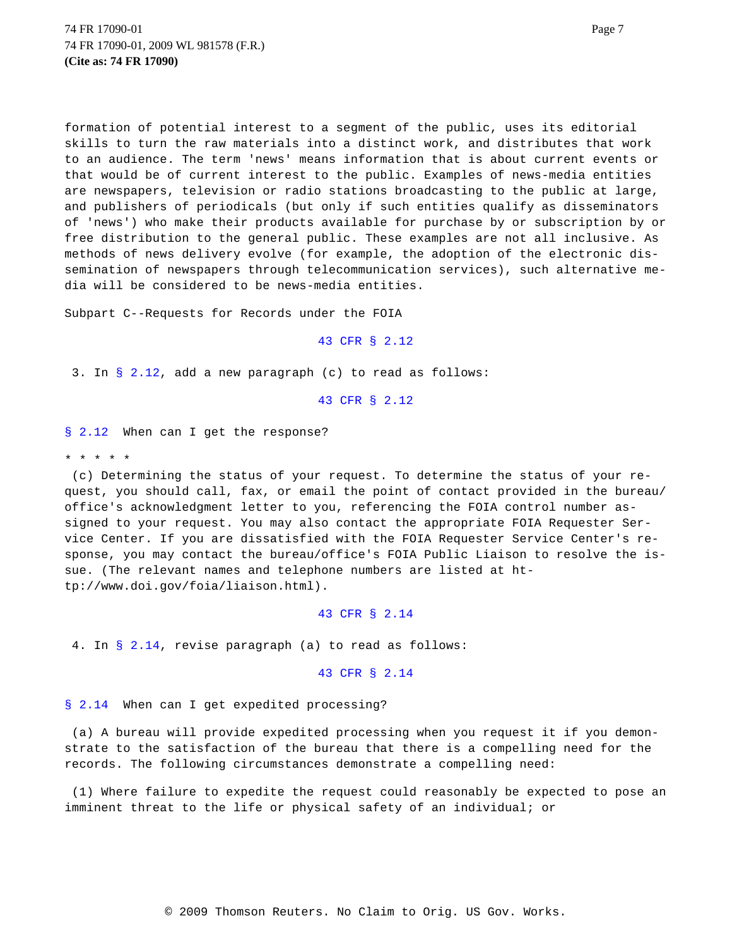74 FR 17090-01 Page 7 74 FR 17090-01, 2009 WL 981578 (F.R.) **(Cite as: 74 FR 17090)**

formation of potential interest to a segment of the public, uses its editorial skills to turn the raw materials into a distinct work, and distributes that work to an audience. The term 'news' means information that is about current events or that would be of current interest to the public. Examples of news-media entities are newspapers, television or radio stations broadcasting to the public at large, and publishers of periodicals (but only if such entities qualify as disseminators of 'news') who make their products available for purchase by or subscription by or free distribution to the general public. These examples are not all inclusive. As methods of news delivery evolve (for example, the adoption of the electronic dissemination of newspapers through telecommunication services), such alternative media will be considered to be news-media entities.

Subpart C--Requests for Records under the FOIA

### [43 CFR § 2.12](http://www.westlaw.com/Find/Default.wl?rs=FIPR1.0&vr=2.0&DB=1000547&DocName=43CFRS2.12&FindType=L)

3. In [§ 2.12](http://www.westlaw.com/Find/Default.wl?rs=FIPR1.0&vr=2.0&DB=1000547&DocName=43CFRS2.12&FindType=L), add a new paragraph (c) to read as follows:

[43 CFR § 2.12](http://www.westlaw.com/Find/Default.wl?rs=FIPR1.0&vr=2.0&DB=1000547&DocName=43CFRS2.12&FindType=L)

[§ 2.12](http://www.westlaw.com/Find/Default.wl?rs=FIPR1.0&vr=2.0&DB=1000547&DocName=43CFRS2.12&FindType=L) When can I get the response?

\* \* \* \* \*

(c) Determining the status of your request. To determine the status of your request, you should call, fax, or email the point of contact provided in the bureau/ office's acknowledgment letter to you, referencing the FOIA control number assigned to your request. You may also contact the appropriate FOIA Requester Service Center. If you are dissatisfied with the FOIA Requester Service Center's response, you may contact the bureau/office's FOIA Public Liaison to resolve the issue. (The relevant names and telephone numbers are listed at http://www.doi.gov/foia/liaison.html).

### [43 CFR § 2.14](http://www.westlaw.com/Find/Default.wl?rs=FIPR1.0&vr=2.0&DB=1000547&DocName=43CFRS2.14&FindType=L)

4. In [§ 2.14](http://www.westlaw.com/Find/Default.wl?rs=FIPR1.0&vr=2.0&DB=1000547&DocName=43CFRS2.14&FindType=L), revise paragraph (a) to read as follows:

## [43 CFR § 2.14](http://www.westlaw.com/Find/Default.wl?rs=FIPR1.0&vr=2.0&DB=1000547&DocName=43CFRS2.14&FindType=L)

[§ 2.14](http://www.westlaw.com/Find/Default.wl?rs=FIPR1.0&vr=2.0&DB=1000547&DocName=43CFRS2.14&FindType=L) When can I get expedited processing?

(a) A bureau will provide expedited processing when you request it if you demonstrate to the satisfaction of the bureau that there is a compelling need for the records. The following circumstances demonstrate a compelling need:

(1) Where failure to expedite the request could reasonably be expected to pose an imminent threat to the life or physical safety of an individual; or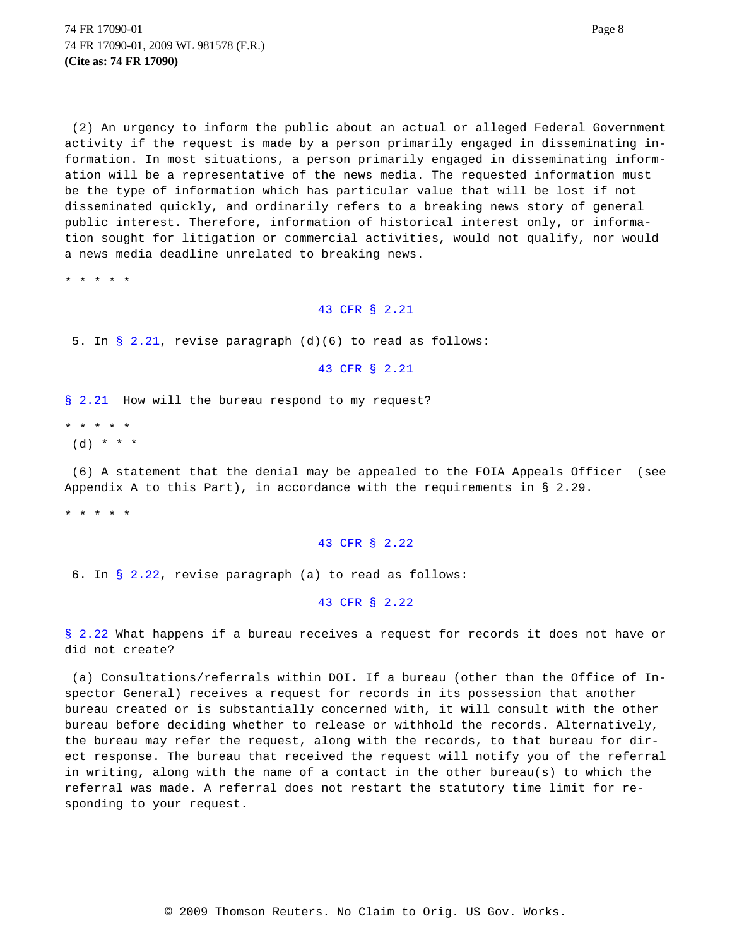(2) An urgency to inform the public about an actual or alleged Federal Government activity if the request is made by a person primarily engaged in disseminating information. In most situations, a person primarily engaged in disseminating information will be a representative of the news media. The requested information must be the type of information which has particular value that will be lost if not disseminated quickly, and ordinarily refers to a breaking news story of general public interest. Therefore, information of historical interest only, or information sought for litigation or commercial activities, would not qualify, nor would a news media deadline unrelated to breaking news.

\* \* \* \* \*

## [43 CFR § 2.21](http://www.westlaw.com/Find/Default.wl?rs=FIPR1.0&vr=2.0&DB=1000547&DocName=43CFRS2.21&FindType=L)

5. In [§ 2.21](http://www.westlaw.com/Find/Default.wl?rs=FIPR1.0&vr=2.0&DB=1000547&DocName=43CFRS2.21&FindType=L), revise paragraph (d)(6) to read as follows:

## [43 CFR § 2.21](http://www.westlaw.com/Find/Default.wl?rs=FIPR1.0&vr=2.0&DB=1000547&DocName=43CFRS2.21&FindType=L)

[§ 2.21](http://www.westlaw.com/Find/Default.wl?rs=FIPR1.0&vr=2.0&DB=1000547&DocName=43CFRS2.21&FindType=L) How will the bureau respond to my request?

\* \* \* \* \*  $(d) * * * *$ 

(6) A statement that the denial may be appealed to the FOIA Appeals Officer (see Appendix A to this Part), in accordance with the requirements in § 2.29.

\* \* \* \* \*

#### [43 CFR § 2.22](http://www.westlaw.com/Find/Default.wl?rs=FIPR1.0&vr=2.0&DB=1000547&DocName=43CFRS2.22&FindType=L)

6. In [§ 2.22](http://www.westlaw.com/Find/Default.wl?rs=FIPR1.0&vr=2.0&DB=1000547&DocName=43CFRS2.22&FindType=L), revise paragraph (a) to read as follows:

### [43 CFR § 2.22](http://www.westlaw.com/Find/Default.wl?rs=FIPR1.0&vr=2.0&DB=1000547&DocName=43CFRS2.22&FindType=L)

[§ 2.22](http://www.westlaw.com/Find/Default.wl?rs=FIPR1.0&vr=2.0&DB=1000547&DocName=43CFRS2.22&FindType=L) What happens if a bureau receives a request for records it does not have or did not create?

(a) Consultations/referrals within DOI. If a bureau (other than the Office of Inspector General) receives a request for records in its possession that another bureau created or is substantially concerned with, it will consult with the other bureau before deciding whether to release or withhold the records. Alternatively, the bureau may refer the request, along with the records, to that bureau for direct response. The bureau that received the request will notify you of the referral in writing, along with the name of a contact in the other bureau(s) to which the referral was made. A referral does not restart the statutory time limit for responding to your request.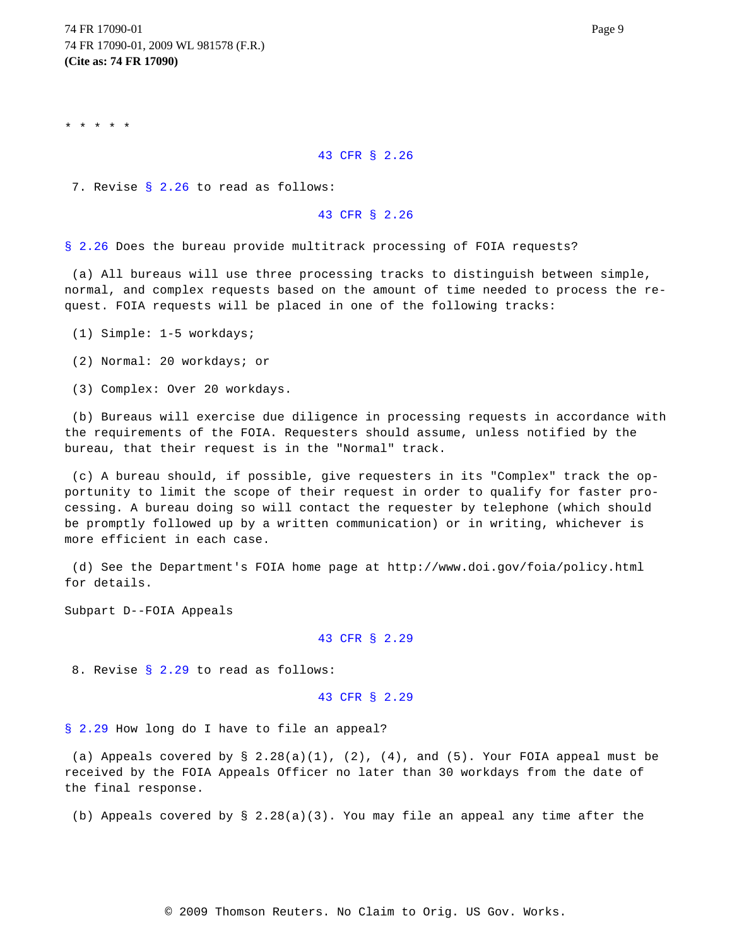\* \* \* \* \*

# [43 CFR § 2.26](http://www.westlaw.com/Find/Default.wl?rs=FIPR1.0&vr=2.0&DB=1000547&DocName=43CFRS2.26&FindType=L)

7. Revise [§ 2.2](http://www.westlaw.com/Find/Default.wl?rs=FIPR1.0&vr=2.0&DB=1000547&DocName=43CFRS2.26&FindType=L)6 to read as follows:

# [43 CFR § 2.26](http://www.westlaw.com/Find/Default.wl?rs=FIPR1.0&vr=2.0&DB=1000547&DocName=43CFRS2.26&FindType=L)

[§ 2.26](http://www.westlaw.com/Find/Default.wl?rs=FIPR1.0&vr=2.0&DB=1000547&DocName=43CFRS2.26&FindType=L) Does the bureau provide multitrack processing of FOIA requests?

(a) All bureaus will use three processing tracks to distinguish between simple, normal, and complex requests based on the amount of time needed to process the request. FOIA requests will be placed in one of the following tracks:

- (1) Simple: 1-5 workdays;
- (2) Normal: 20 workdays; or
- (3) Complex: Over 20 workdays.

(b) Bureaus will exercise due diligence in processing requests in accordance with the requirements of the FOIA. Requesters should assume, unless notified by the bureau, that their request is in the "Normal" track.

(c) A bureau should, if possible, give requesters in its "Complex" track the opportunity to limit the scope of their request in order to qualify for faster processing. A bureau doing so will contact the requester by telephone (which should be promptly followed up by a written communication) or in writing, whichever is more efficient in each case.

(d) See the Department's FOIA home page at http://www.doi.gov/foia/policy.html for details.

Subpart D--FOIA Appeals

# [43 CFR § 2.29](http://www.westlaw.com/Find/Default.wl?rs=FIPR1.0&vr=2.0&DB=1000547&DocName=43CFRS2.29&FindType=L)

8. Revise [§ 2.2](http://www.westlaw.com/Find/Default.wl?rs=FIPR1.0&vr=2.0&DB=1000547&DocName=43CFRS2.29&FindType=L)9 to read as follows:

# [43 CFR § 2.29](http://www.westlaw.com/Find/Default.wl?rs=FIPR1.0&vr=2.0&DB=1000547&DocName=43CFRS2.29&FindType=L)

[§ 2.29](http://www.westlaw.com/Find/Default.wl?rs=FIPR1.0&vr=2.0&DB=1000547&DocName=43CFRS2.29&FindType=L) How long do I have to file an appeal?

(a) Appeals covered by  $\S$  2.28(a)(1), (2), (4), and (5). Your FOIA appeal must be received by the FOIA Appeals Officer no later than 30 workdays from the date of the final response.

(b) Appeals covered by  $\S$  2.28(a)(3). You may file an appeal any time after the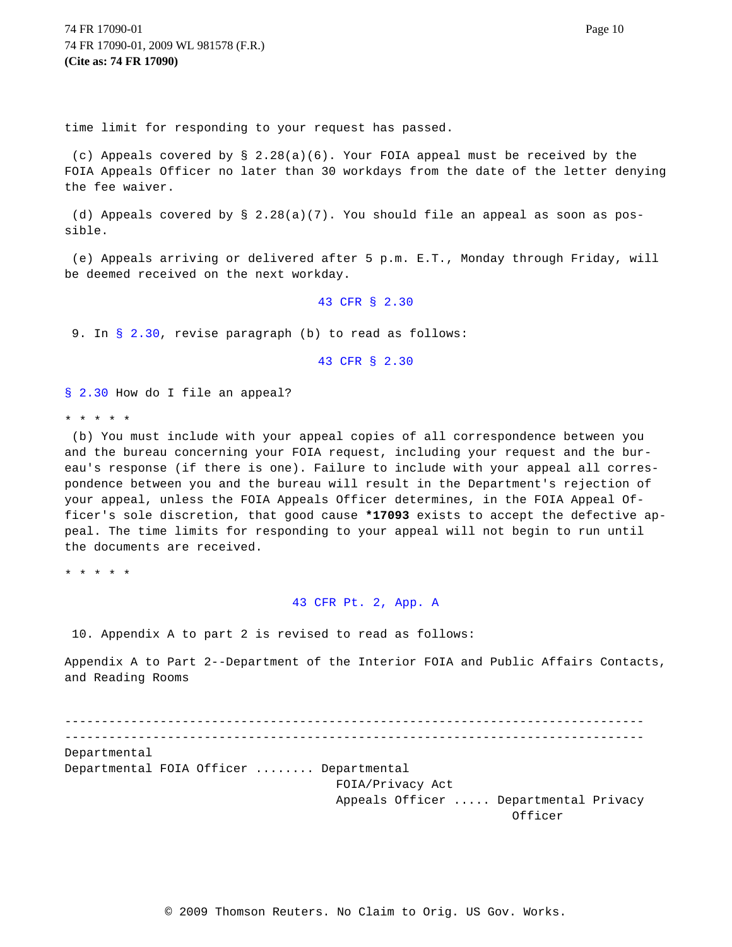74 FR 17090-01 Page 10 74 FR 17090-01, 2009 WL 981578 (F.R.) **(Cite as: 74 FR 17090)**

time limit for responding to your request has passed.

(c) Appeals covered by § 2.28(a)(6). Your FOIA appeal must be received by the FOIA Appeals Officer no later than 30 workdays from the date of the letter denying the fee waiver.

(d) Appeals covered by  $\S$  2.28(a)(7). You should file an appeal as soon as possible.

(e) Appeals arriving or delivered after 5 p.m. E.T., Monday through Friday, will be deemed received on the next workday.

### [43 CFR § 2.30](http://www.westlaw.com/Find/Default.wl?rs=FIPR1.0&vr=2.0&DB=1000547&DocName=43CFRS2.30&FindType=L)

9. In [§ 2.30](http://www.westlaw.com/Find/Default.wl?rs=FIPR1.0&vr=2.0&DB=1000547&DocName=43CFRS2.30&FindType=L), revise paragraph (b) to read as follows:

# [43 CFR § 2.30](http://www.westlaw.com/Find/Default.wl?rs=FIPR1.0&vr=2.0&DB=1000547&DocName=43CFRS2.30&FindType=L)

[§ 2.30](http://www.westlaw.com/Find/Default.wl?rs=FIPR1.0&vr=2.0&DB=1000547&DocName=43CFRS2.30&FindType=L) How do I file an appeal?

\* \* \* \* \*

(b) You must include with your appeal copies of all correspondence between you and the bureau concerning your FOIA request, including your request and the bureau's response (if there is one). Failure to include with your appeal all correspondence between you and the bureau will result in the Department's rejection of your appeal, unless the FOIA Appeals Officer determines, in the FOIA Appeal Officer's sole discretion, that good cause **\*17093** exists to accept the defective appeal. The time limits for responding to your appeal will not begin to run until the documents are received.

\* \* \* \* \*

## [43 CFR Pt. 2, App.](http://www.westlaw.com/Find/Default.wl?rs=FIPR1.0&vr=2.0&DB=1000547&DocName=43CFRPT2APPA&FindType=L) A

10. Appendix A to part 2 is revised to read as follows:

Appendix A to Part 2--Department of the Interior FOIA and Public Affairs Contacts, and Reading Rooms

------------------------------------------------------------------------------- ------------------------------------------------------------------------------- Departmental Departmental FOIA Officer ........ Departmental FOIA/Privacy Act Appeals Officer ..... Departmental Privacy Officer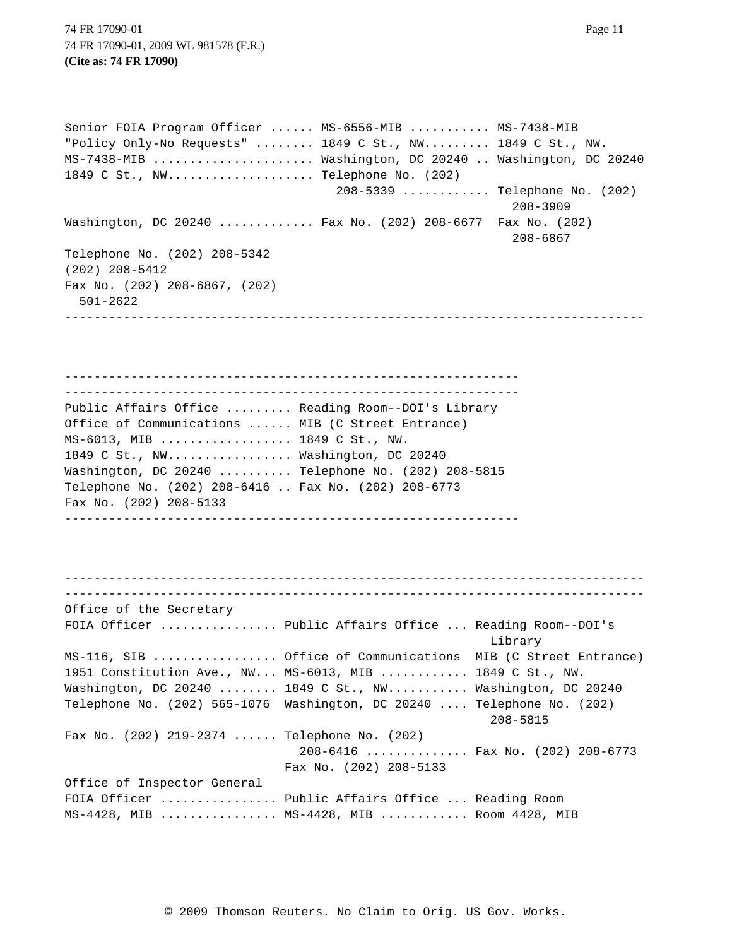74 FR 17090-01 Page 11 74 FR 17090-01, 2009 WL 981578 (F.R.) **(Cite as: 74 FR 17090)**

Senior FOIA Program Officer ...... MS-6556-MIB ........... MS-7438-MIB "Policy Only-No Requests" ........ 1849 C St., NW......... 1849 C St., NW. MS-7438-MIB ...................... Washington, DC 20240 .. Washington, DC 20240 1849 C St., NW.................... Telephone No. (202) 208-5339 ............ Telephone No. (202) 208-3909 Washington, DC 20240 ............. Fax No. (202) 208-6677 Fax No. (202) 208-6867 Telephone No. (202) 208-5342 (202) 208-5412 Fax No. (202) 208-6867, (202) 501-2622 -------------------------------------------------------------------------------

-------------------------------------------------------------- -------------------------------------------------------------- Public Affairs Office ......... Reading Room--DOI's Library Office of Communications ...... MIB (C Street Entrance) MS-6013, MIB .................. 1849 C St., NW. 1849 C St., NW................. Washington, DC 20240 Washington, DC 20240 .......... Telephone No. (202) 208-5815 Telephone No. (202) 208-6416 .. Fax No. (202) 208-6773 Fax No. (202) 208-5133 --------------------------------------------------------------

------------------------------------------------------------------------------- ------------------------------------------------------------------------------- Office of the Secretary FOIA Officer ................ Public Affairs Office ... Reading Room--DOI's Library MS-116, SIB ................. Office of Communications MIB (C Street Entrance) 1951 Constitution Ave., NW... MS-6013, MIB ............ 1849 C St., NW. Washington, DC 20240 ........ 1849 C St., NW........... Washington, DC 20240 Telephone No. (202) 565-1076 Washington, DC 20240 .... Telephone No. (202) 208-5815 Fax No. (202) 219-2374 ...... Telephone No. (202) 208-6416 .............. Fax No. (202) 208-6773 Fax No. (202) 208-5133 Office of Inspector General FOIA Officer ................ Public Affairs Office ... Reading Room MS-4428, MIB ................ MS-4428, MIB ............. Room 4428, MIB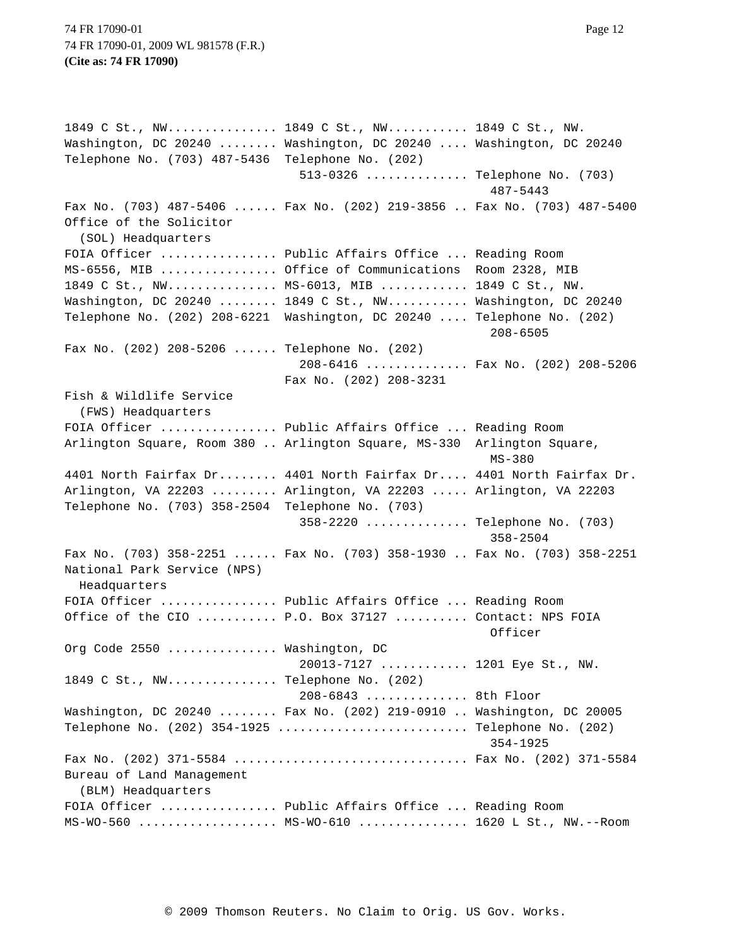74 FR 17090-01 Page 12 74 FR 17090-01, 2009 WL 981578 (F.R.) **(Cite as: 74 FR 17090)**

1849 C St., NW............... 1849 C St., NW........... 1849 C St., NW. Washington, DC 20240 ........ Washington, DC 20240 .... Washington, DC 20240 Telephone No. (703) 487-5436 Telephone No. (202) 513-0326 .............. Telephone No. (703) 487-5443 Fax No. (703) 487-5406 ...... Fax No. (202) 219-3856 .. Fax No. (703) 487-5400 Office of the Solicitor (SOL) Headquarters FOIA Officer ................ Public Affairs Office ... Reading Room MS-6556, MIB ................ Office of Communications Room 2328, MIB 1849 C St., NW............... MS-6013, MIB ............ 1849 C St., NW. Washington, DC 20240 ........ 1849 C St., NW............ Washington, DC 20240 Telephone No. (202) 208-6221 Washington, DC 20240 .... Telephone No. (202) 208-6505 Fax No. (202) 208-5206 ...... Telephone No. (202) 208-6416 .............. Fax No. (202) 208-5206 Fax No. (202) 208-3231 Fish & Wildlife Service (FWS) Headquarters FOIA Officer ................ Public Affairs Office ... Reading Room Arlington Square, Room 380 .. Arlington Square, MS-330 Arlington Square, MS-380 4401 North Fairfax Dr........ 4401 North Fairfax Dr.... 4401 North Fairfax Dr. Arlington, VA 22203 ......... Arlington, VA 22203 ..... Arlington, VA 22203 Telephone No. (703) 358-2504 Telephone No. (703) 358-2220 .............. Telephone No. (703) 358-2504 Fax No. (703) 358-2251 ...... Fax No. (703) 358-1930 .. Fax No. (703) 358-2251 National Park Service (NPS) Headquarters FOIA Officer ................ Public Affairs Office ... Reading Room Office of the CIO ........... P.O. Box 37127 ........... Contact: NPS FOIA Officer Org Code 2550 ............... Washington, DC 20013-7127 ............ 1201 Eye St., NW. 1849 C St., NW............... Telephone No. (202) 208-6843 .............. 8th Floor Washington, DC 20240 ........ Fax No. (202) 219-0910 .. Washington, DC 20005 Telephone No. (202) 354-1925 .......................... Telephone No. (202) 354-1925 Fax No. (202) 371-5584 .................................. Fax No. (202) 371-5584 Bureau of Land Management (BLM) Headquarters FOIA Officer ................ Public Affairs Office ... Reading Room MS-WO-560 ................... MS-WO-610 ............... 1620 L St., NW.--Room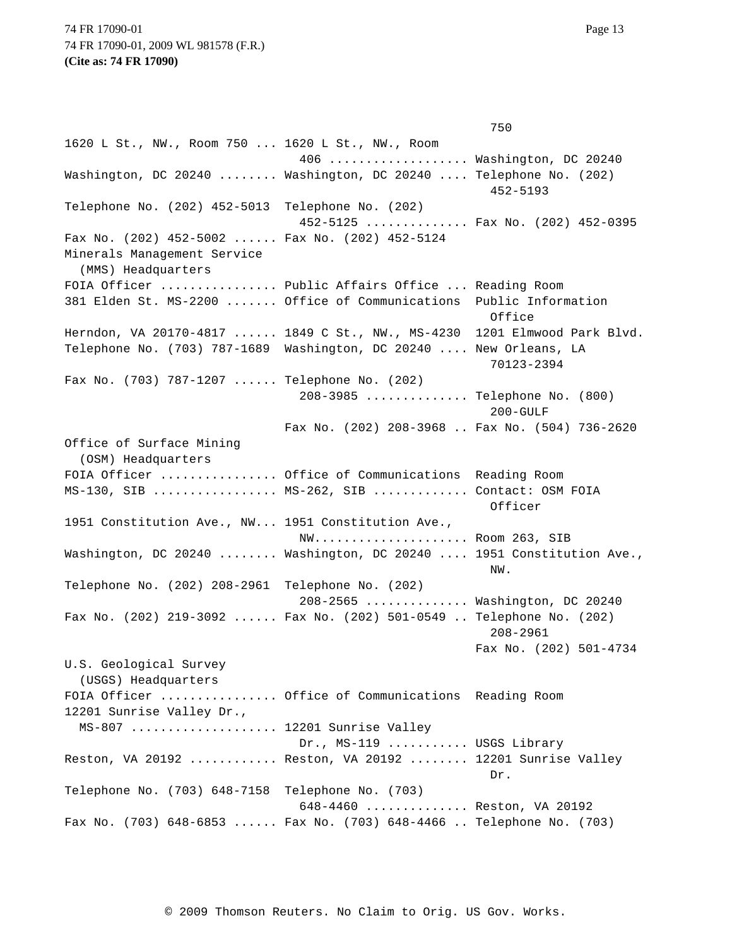750 1620 L St., NW., Room 750 ... 1620 L St., NW., Room 406 ................... Washington, DC 20240 Washington, DC 20240 ........ Washington, DC 20240 .... Telephone No. (202) 452-5193 Telephone No. (202) 452-5013 Telephone No. (202) 452-5125 .............. Fax No. (202) 452-0395 Fax No. (202) 452-5002 ...... Fax No. (202) 452-5124 Minerals Management Service (MMS) Headquarters FOIA Officer ................ Public Affairs Office ... Reading Room 381 Elden St. MS-2200 ....... Office of Communications Public Information Office Herndon, VA 20170-4817 ...... 1849 C St., NW., MS-4230 1201 Elmwood Park Blvd. Telephone No. (703) 787-1689 Washington, DC 20240 .... New Orleans, LA 70123-2394 Fax No. (703) 787-1207 ...... Telephone No. (202) 208-3985 .............. Telephone No. (800) 200-GULF Fax No. (202) 208-3968 .. Fax No. (504) 736-2620 Office of Surface Mining (OSM) Headquarters FOIA Officer ................ Office of Communications Reading Room MS-130, SIB ................. MS-262, SIB ............... Contact: OSM FOIA Officer 1951 Constitution Ave., NW... 1951 Constitution Ave., NW..................... Room 263, SIB Washington, DC 20240 ....... Washington, DC 20240 .... 1951 Constitution Ave., NW. Telephone No. (202) 208-2961 Telephone No. (202) 208-2565 .............. Washington, DC 20240 Fax No. (202) 219-3092 ...... Fax No. (202) 501-0549 .. Telephone No. (202) 208-2961 Fax No. (202) 501-4734 U.S. Geological Survey (USGS) Headquarters FOIA Officer ................ Office of Communications Reading Room 12201 Sunrise Valley Dr., MS-807 .................... 12201 Sunrise Valley Dr., MS-119 ........... USGS Library Reston, VA 20192 ............ Reston, VA 20192 ........ 12201 Sunrise Valley Dr. Telephone No. (703) 648-7158 Telephone No. (703) 648-4460 .............. Reston, VA 20192 Fax No. (703) 648-6853 ...... Fax No. (703) 648-4466 .. Telephone No. (703)